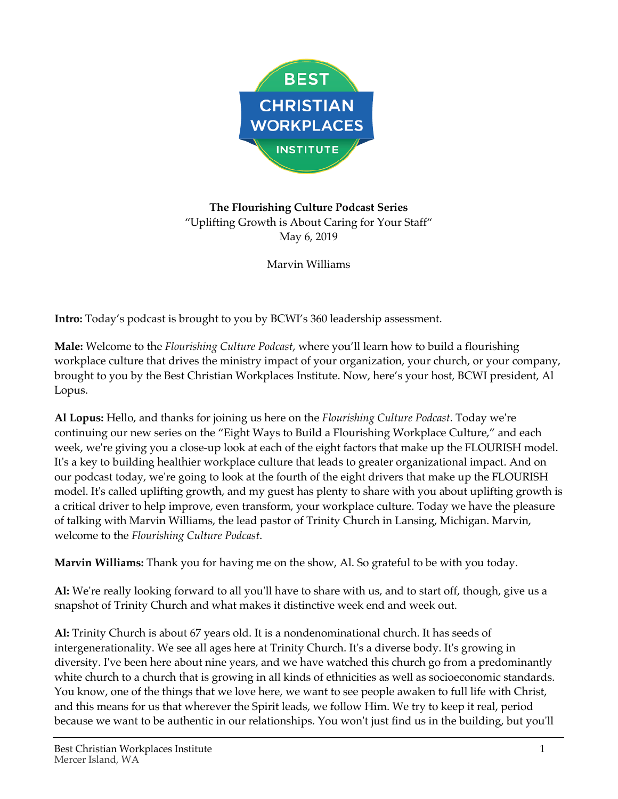

**The Flourishing Culture Podcast Series** "Uplifting Growth is About Caring for Your Staff" May 6, 2019

Marvin Williams

**Intro:** Today's podcast is brought to you by BCWI's 360 leadership assessment.

**Male:** Welcome to the *Flourishing Culture Podcast*, where you'll learn how to build a flourishing workplace culture that drives the ministry impact of your organization, your church, or your company, brought to you by the Best Christian Workplaces Institute. Now, here's your host, BCWI president, Al Lopus.

**Al Lopus:** Hello, and thanks for joining us here on the *Flourishing Culture Podcast*. Today we're continuing our new series on the "Eight Ways to Build a Flourishing Workplace Culture," and each week, we're giving you a close-up look at each of the eight factors that make up the FLOURISH model. It's a key to building healthier workplace culture that leads to greater organizational impact. And on our podcast today, we're going to look at the fourth of the eight drivers that make up the FLOURISH model. It's called uplifting growth, and my guest has plenty to share with you about uplifting growth is a critical driver to help improve, even transform, your workplace culture. Today we have the pleasure of talking with Marvin Williams, the lead pastor of Trinity Church in Lansing, Michigan. Marvin, welcome to the *Flourishing Culture Podcast*.

**Marvin Williams:** Thank you for having me on the show, Al. So grateful to be with you today.

**Al:** We're really looking forward to all you'll have to share with us, and to start off, though, give us a snapshot of Trinity Church and what makes it distinctive week end and week out.

**Al:** Trinity Church is about 67 years old. It is a nondenominational church. It has seeds of intergenerationality. We see all ages here at Trinity Church. It's a diverse body. It's growing in diversity. I've been here about nine years, and we have watched this church go from a predominantly white church to a church that is growing in all kinds of ethnicities as well as socioeconomic standards. You know, one of the things that we love here, we want to see people awaken to full life with Christ, and this means for us that wherever the Spirit leads, we follow Him. We try to keep it real, period because we want to be authentic in our relationships. You won't just find us in the building, but you'll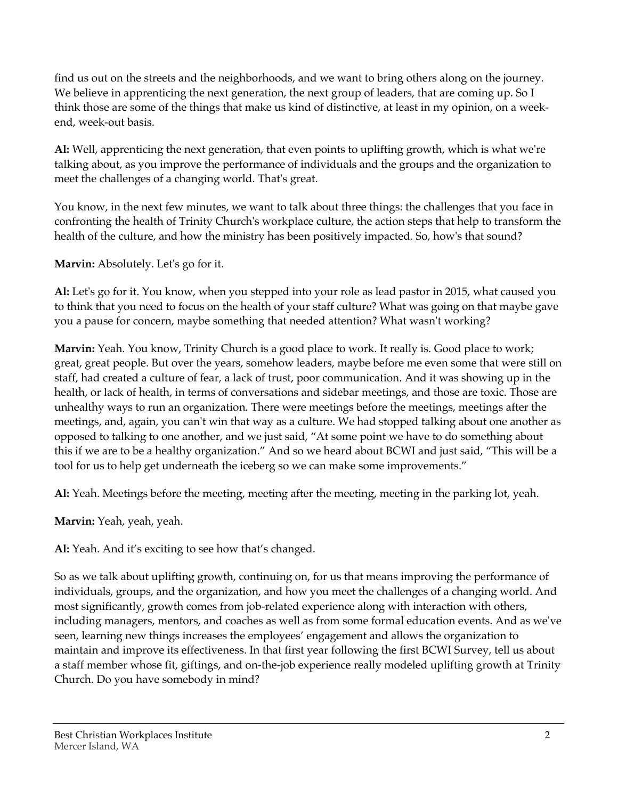find us out on the streets and the neighborhoods, and we want to bring others along on the journey. We believe in apprenticing the next generation, the next group of leaders, that are coming up. So I think those are some of the things that make us kind of distinctive, at least in my opinion, on a weekend, week-out basis.

**Al:** Well, apprenticing the next generation, that even points to uplifting growth, which is what we're talking about, as you improve the performance of individuals and the groups and the organization to meet the challenges of a changing world. That's great.

You know, in the next few minutes, we want to talk about three things: the challenges that you face in confronting the health of Trinity Church's workplace culture, the action steps that help to transform the health of the culture, and how the ministry has been positively impacted. So, how's that sound?

**Marvin:** Absolutely. Let's go for it.

**Al:** Let's go for it. You know, when you stepped into your role as lead pastor in 2015, what caused you to think that you need to focus on the health of your staff culture? What was going on that maybe gave you a pause for concern, maybe something that needed attention? What wasn't working?

**Marvin:** Yeah. You know, Trinity Church is a good place to work. It really is. Good place to work; great, great people. But over the years, somehow leaders, maybe before me even some that were still on staff, had created a culture of fear, a lack of trust, poor communication. And it was showing up in the health, or lack of health, in terms of conversations and sidebar meetings, and those are toxic. Those are unhealthy ways to run an organization. There were meetings before the meetings, meetings after the meetings, and, again, you can't win that way as a culture. We had stopped talking about one another as opposed to talking to one another, and we just said, "At some point we have to do something about this if we are to be a healthy organization." And so we heard about BCWI and just said, "This will be a tool for us to help get underneath the iceberg so we can make some improvements."

**Al:** Yeah. Meetings before the meeting, meeting after the meeting, meeting in the parking lot, yeah.

**Marvin:** Yeah, yeah, yeah.

**Al:** Yeah. And it's exciting to see how that's changed.

So as we talk about uplifting growth, continuing on, for us that means improving the performance of individuals, groups, and the organization, and how you meet the challenges of a changing world. And most significantly, growth comes from job-related experience along with interaction with others, including managers, mentors, and coaches as well as from some formal education events. And as we've seen, learning new things increases the employees' engagement and allows the organization to maintain and improve its effectiveness. In that first year following the first BCWI Survey, tell us about a staff member whose fit, giftings, and on-the-job experience really modeled uplifting growth at Trinity Church. Do you have somebody in mind?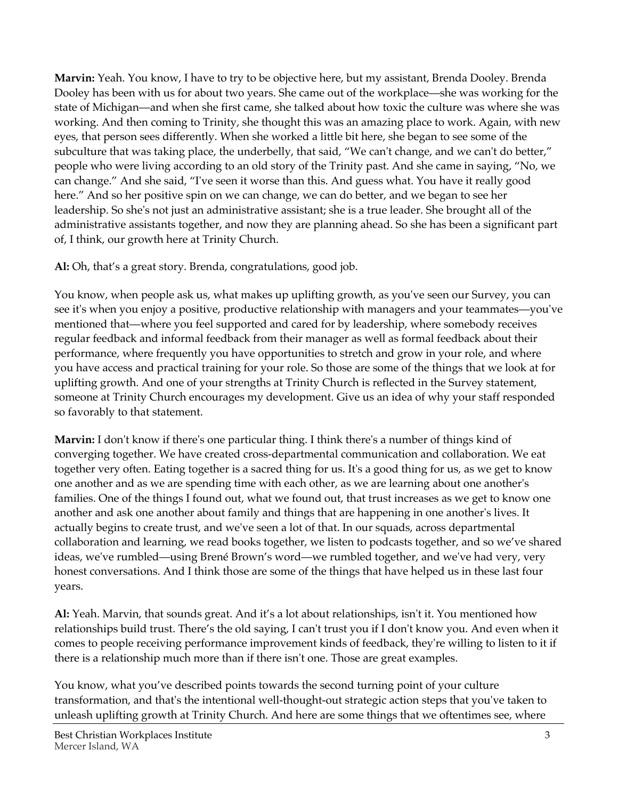**Marvin:** Yeah. You know, I have to try to be objective here, but my assistant, Brenda Dooley. Brenda Dooley has been with us for about two years. She came out of the workplace—she was working for the state of Michigan—and when she first came, she talked about how toxic the culture was where she was working. And then coming to Trinity, she thought this was an amazing place to work. Again, with new eyes, that person sees differently. When she worked a little bit here, she began to see some of the subculture that was taking place, the underbelly, that said, "We can't change, and we can't do better," people who were living according to an old story of the Trinity past. And she came in saying, "No, we can change." And she said, "I've seen it worse than this. And guess what. You have it really good here." And so her positive spin on we can change, we can do better, and we began to see her leadership. So she's not just an administrative assistant; she is a true leader. She brought all of the administrative assistants together, and now they are planning ahead. So she has been a significant part of, I think, our growth here at Trinity Church.

**Al:** Oh, that's a great story. Brenda, congratulations, good job.

You know, when people ask us, what makes up uplifting growth, as you've seen our Survey, you can see it's when you enjoy a positive, productive relationship with managers and your teammates—you've mentioned that—where you feel supported and cared for by leadership, where somebody receives regular feedback and informal feedback from their manager as well as formal feedback about their performance, where frequently you have opportunities to stretch and grow in your role, and where you have access and practical training for your role. So those are some of the things that we look at for uplifting growth. And one of your strengths at Trinity Church is reflected in the Survey statement, someone at Trinity Church encourages my development. Give us an idea of why your staff responded so favorably to that statement.

**Marvin:** I don't know if there's one particular thing. I think there's a number of things kind of converging together. We have created cross-departmental communication and collaboration. We eat together very often. Eating together is a sacred thing for us. It's a good thing for us, as we get to know one another and as we are spending time with each other, as we are learning about one another's families. One of the things I found out, what we found out, that trust increases as we get to know one another and ask one another about family and things that are happening in one another's lives. It actually begins to create trust, and we've seen a lot of that. In our squads, across departmental collaboration and learning, we read books together, we listen to podcasts together, and so we've shared ideas, we've rumbled—using Brené Brown's word—we rumbled together, and we've had very, very honest conversations. And I think those are some of the things that have helped us in these last four years.

**Al:** Yeah. Marvin, that sounds great. And it's a lot about relationships, isn't it. You mentioned how relationships build trust. There's the old saying, I can't trust you if I don't know you. And even when it comes to people receiving performance improvement kinds of feedback, they're willing to listen to it if there is a relationship much more than if there isn't one. Those are great examples.

You know, what you've described points towards the second turning point of your culture transformation, and that's the intentional well-thought-out strategic action steps that you've taken to unleash uplifting growth at Trinity Church. And here are some things that we oftentimes see, where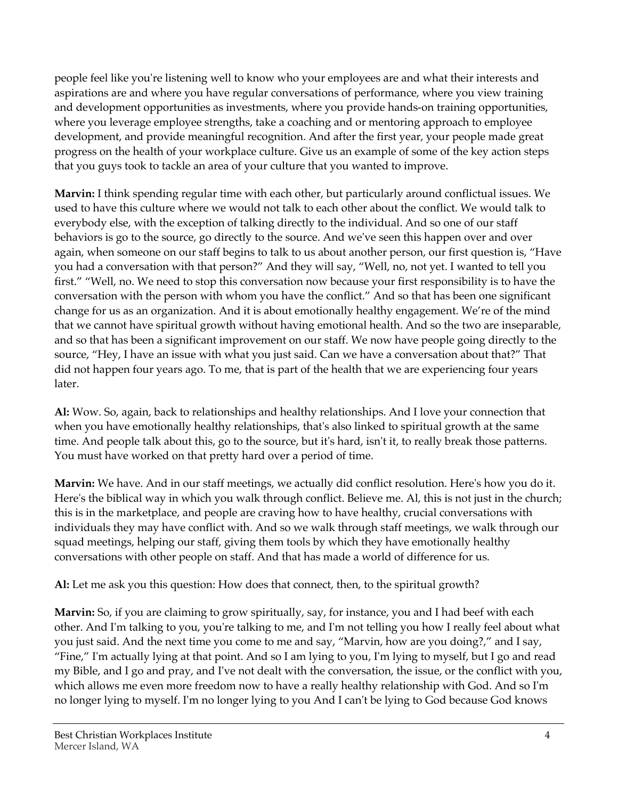people feel like you're listening well to know who your employees are and what their interests and aspirations are and where you have regular conversations of performance, where you view training and development opportunities as investments, where you provide hands-on training opportunities, where you leverage employee strengths, take a coaching and or mentoring approach to employee development, and provide meaningful recognition. And after the first year, your people made great progress on the health of your workplace culture. Give us an example of some of the key action steps that you guys took to tackle an area of your culture that you wanted to improve.

**Marvin:** I think spending regular time with each other, but particularly around conflictual issues. We used to have this culture where we would not talk to each other about the conflict. We would talk to everybody else, with the exception of talking directly to the individual. And so one of our staff behaviors is go to the source, go directly to the source. And we've seen this happen over and over again, when someone on our staff begins to talk to us about another person, our first question is, "Have you had a conversation with that person?" And they will say, "Well, no, not yet. I wanted to tell you first." "Well, no. We need to stop this conversation now because your first responsibility is to have the conversation with the person with whom you have the conflict." And so that has been one significant change for us as an organization. And it is about emotionally healthy engagement. We're of the mind that we cannot have spiritual growth without having emotional health. And so the two are inseparable, and so that has been a significant improvement on our staff. We now have people going directly to the source, "Hey, I have an issue with what you just said. Can we have a conversation about that?" That did not happen four years ago. To me, that is part of the health that we are experiencing four years later.

**Al:** Wow. So, again, back to relationships and healthy relationships. And I love your connection that when you have emotionally healthy relationships, that's also linked to spiritual growth at the same time. And people talk about this, go to the source, but it's hard, isn't it, to really break those patterns. You must have worked on that pretty hard over a period of time.

**Marvin:** We have. And in our staff meetings, we actually did conflict resolution. Here's how you do it. Here's the biblical way in which you walk through conflict. Believe me. Al, this is not just in the church; this is in the marketplace, and people are craving how to have healthy, crucial conversations with individuals they may have conflict with. And so we walk through staff meetings, we walk through our squad meetings, helping our staff, giving them tools by which they have emotionally healthy conversations with other people on staff. And that has made a world of difference for us.

**Al:** Let me ask you this question: How does that connect, then, to the spiritual growth?

**Marvin:** So, if you are claiming to grow spiritually, say, for instance, you and I had beef with each other. And I'm talking to you, you're talking to me, and I'm not telling you how I really feel about what you just said. And the next time you come to me and say, "Marvin, how are you doing?," and I say, "Fine," I'm actually lying at that point. And so I am lying to you, I'm lying to myself, but I go and read my Bible, and I go and pray, and I've not dealt with the conversation, the issue, or the conflict with you, which allows me even more freedom now to have a really healthy relationship with God. And so I'm no longer lying to myself. I'm no longer lying to you And I can't be lying to God because God knows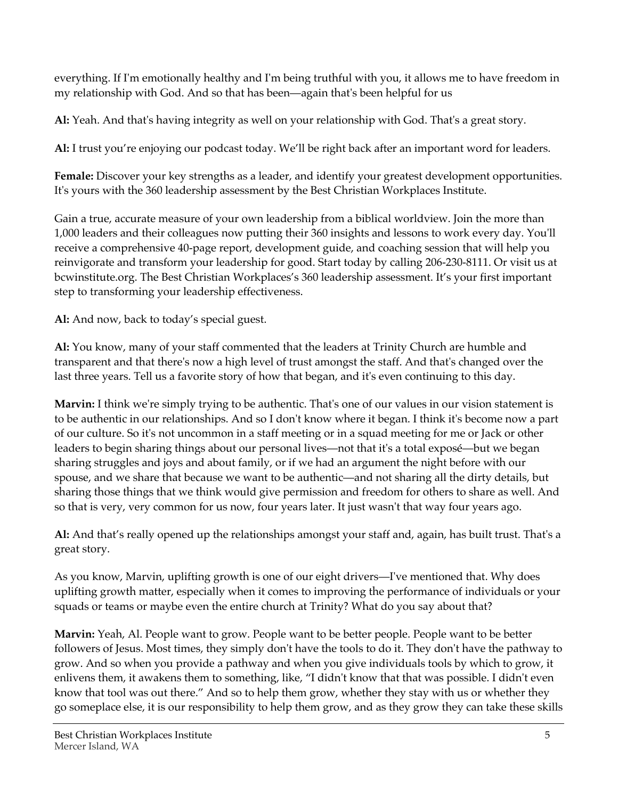everything. If I'm emotionally healthy and I'm being truthful with you, it allows me to have freedom in my relationship with God. And so that has been—again that's been helpful for us

**Al:** Yeah. And that's having integrity as well on your relationship with God. That's a great story.

**Al:** I trust you're enjoying our podcast today. We'll be right back after an important word for leaders.

**Female:** Discover your key strengths as a leader, and identify your greatest development opportunities. It's yours with the 360 leadership assessment by the Best Christian Workplaces Institute.

Gain a true, accurate measure of your own leadership from a biblical worldview. Join the more than 1,000 leaders and their colleagues now putting their 360 insights and lessons to work every day. You'll receive a comprehensive 40-page report, development guide, and coaching session that will help you reinvigorate and transform your leadership for good. Start today by calling 206-230-8111. Or visit us at bcwinstitute.org. The Best Christian Workplaces's 360 leadership assessment. It's your first important step to transforming your leadership effectiveness.

**Al:** And now, back to today's special guest.

**Al:** You know, many of your staff commented that the leaders at Trinity Church are humble and transparent and that there's now a high level of trust amongst the staff. And that's changed over the last three years. Tell us a favorite story of how that began, and it's even continuing to this day.

**Marvin:** I think we're simply trying to be authentic. That's one of our values in our vision statement is to be authentic in our relationships. And so I don't know where it began. I think it's become now a part of our culture. So it's not uncommon in a staff meeting or in a squad meeting for me or Jack or other leaders to begin sharing things about our personal lives—not that it's a total exposé—but we began sharing struggles and joys and about family, or if we had an argument the night before with our spouse, and we share that because we want to be authentic—and not sharing all the dirty details, but sharing those things that we think would give permission and freedom for others to share as well. And so that is very, very common for us now, four years later. It just wasn't that way four years ago.

**Al:** And that's really opened up the relationships amongst your staff and, again, has built trust. That's a great story.

As you know, Marvin, uplifting growth is one of our eight drivers—I've mentioned that. Why does uplifting growth matter, especially when it comes to improving the performance of individuals or your squads or teams or maybe even the entire church at Trinity? What do you say about that?

**Marvin:** Yeah, Al. People want to grow. People want to be better people. People want to be better followers of Jesus. Most times, they simply don't have the tools to do it. They don't have the pathway to grow. And so when you provide a pathway and when you give individuals tools by which to grow, it enlivens them, it awakens them to something, like, "I didn't know that that was possible. I didn't even know that tool was out there." And so to help them grow, whether they stay with us or whether they go someplace else, it is our responsibility to help them grow, and as they grow they can take these skills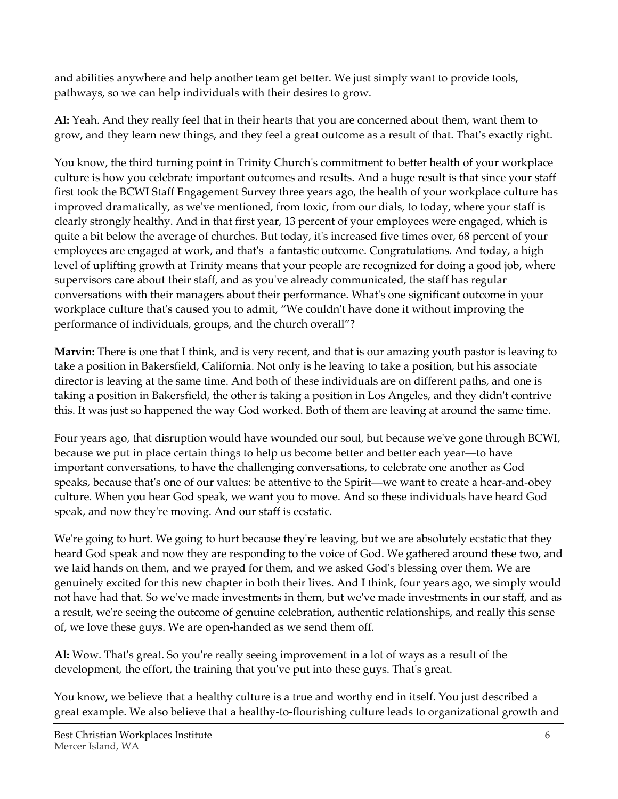and abilities anywhere and help another team get better. We just simply want to provide tools, pathways, so we can help individuals with their desires to grow.

**Al:** Yeah. And they really feel that in their hearts that you are concerned about them, want them to grow, and they learn new things, and they feel a great outcome as a result of that. That's exactly right.

You know, the third turning point in Trinity Church's commitment to better health of your workplace culture is how you celebrate important outcomes and results. And a huge result is that since your staff first took the BCWI Staff Engagement Survey three years ago, the health of your workplace culture has improved dramatically, as we've mentioned, from toxic, from our dials, to today, where your staff is clearly strongly healthy. And in that first year, 13 percent of your employees were engaged, which is quite a bit below the average of churches. But today, it's increased five times over, 68 percent of your employees are engaged at work, and that's a fantastic outcome. Congratulations. And today, a high level of uplifting growth at Trinity means that your people are recognized for doing a good job, where supervisors care about their staff, and as you've already communicated, the staff has regular conversations with their managers about their performance. What's one significant outcome in your workplace culture that's caused you to admit, "We couldn't have done it without improving the performance of individuals, groups, and the church overall"?

**Marvin:** There is one that I think, and is very recent, and that is our amazing youth pastor is leaving to take a position in Bakersfield, California. Not only is he leaving to take a position, but his associate director is leaving at the same time. And both of these individuals are on different paths, and one is taking a position in Bakersfield, the other is taking a position in Los Angeles, and they didn't contrive this. It was just so happened the way God worked. Both of them are leaving at around the same time.

Four years ago, that disruption would have wounded our soul, but because we've gone through BCWI, because we put in place certain things to help us become better and better each year—to have important conversations, to have the challenging conversations, to celebrate one another as God speaks, because that's one of our values: be attentive to the Spirit—we want to create a hear-and-obey culture. When you hear God speak, we want you to move. And so these individuals have heard God speak, and now they're moving. And our staff is ecstatic.

We're going to hurt. We going to hurt because they're leaving, but we are absolutely ecstatic that they heard God speak and now they are responding to the voice of God. We gathered around these two, and we laid hands on them, and we prayed for them, and we asked God's blessing over them. We are genuinely excited for this new chapter in both their lives. And I think, four years ago, we simply would not have had that. So we've made investments in them, but we've made investments in our staff, and as a result, we're seeing the outcome of genuine celebration, authentic relationships, and really this sense of, we love these guys. We are open-handed as we send them off.

**Al:** Wow. That's great. So you're really seeing improvement in a lot of ways as a result of the development, the effort, the training that you've put into these guys. That's great.

You know, we believe that a healthy culture is a true and worthy end in itself. You just described a great example. We also believe that a healthy-to-flourishing culture leads to organizational growth and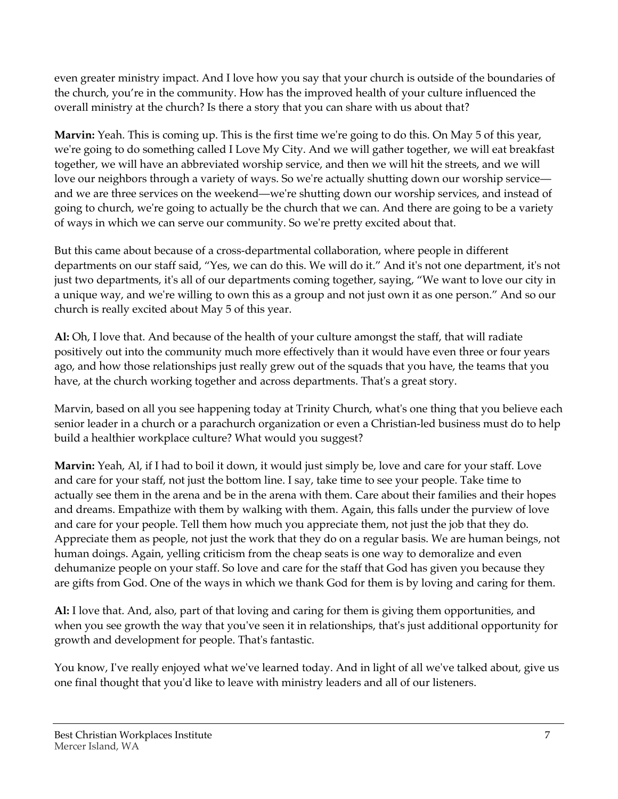even greater ministry impact. And I love how you say that your church is outside of the boundaries of the church, you're in the community. How has the improved health of your culture influenced the overall ministry at the church? Is there a story that you can share with us about that?

**Marvin:** Yeah. This is coming up. This is the first time we're going to do this. On May 5 of this year, we're going to do something called I Love My City. And we will gather together, we will eat breakfast together, we will have an abbreviated worship service, and then we will hit the streets, and we will love our neighbors through a variety of ways. So we're actually shutting down our worship service and we are three services on the weekend—we're shutting down our worship services, and instead of going to church, we're going to actually be the church that we can. And there are going to be a variety of ways in which we can serve our community. So we're pretty excited about that.

But this came about because of a cross-departmental collaboration, where people in different departments on our staff said, "Yes, we can do this. We will do it." And it's not one department, it's not just two departments, it's all of our departments coming together, saying, "We want to love our city in a unique way, and we're willing to own this as a group and not just own it as one person." And so our church is really excited about May 5 of this year.

**Al:** Oh, I love that. And because of the health of your culture amongst the staff, that will radiate positively out into the community much more effectively than it would have even three or four years ago, and how those relationships just really grew out of the squads that you have, the teams that you have, at the church working together and across departments. That's a great story.

Marvin, based on all you see happening today at Trinity Church, what's one thing that you believe each senior leader in a church or a parachurch organization or even a Christian-led business must do to help build a healthier workplace culture? What would you suggest?

**Marvin:** Yeah, Al, if I had to boil it down, it would just simply be, love and care for your staff. Love and care for your staff, not just the bottom line. I say, take time to see your people. Take time to actually see them in the arena and be in the arena with them. Care about their families and their hopes and dreams. Empathize with them by walking with them. Again, this falls under the purview of love and care for your people. Tell them how much you appreciate them, not just the job that they do. Appreciate them as people, not just the work that they do on a regular basis. We are human beings, not human doings. Again, yelling criticism from the cheap seats is one way to demoralize and even dehumanize people on your staff. So love and care for the staff that God has given you because they are gifts from God. One of the ways in which we thank God for them is by loving and caring for them.

**Al:** I love that. And, also, part of that loving and caring for them is giving them opportunities, and when you see growth the way that you've seen it in relationships, that's just additional opportunity for growth and development for people. That's fantastic.

You know, I've really enjoyed what we've learned today. And in light of all we've talked about, give us one final thought that you'd like to leave with ministry leaders and all of our listeners.